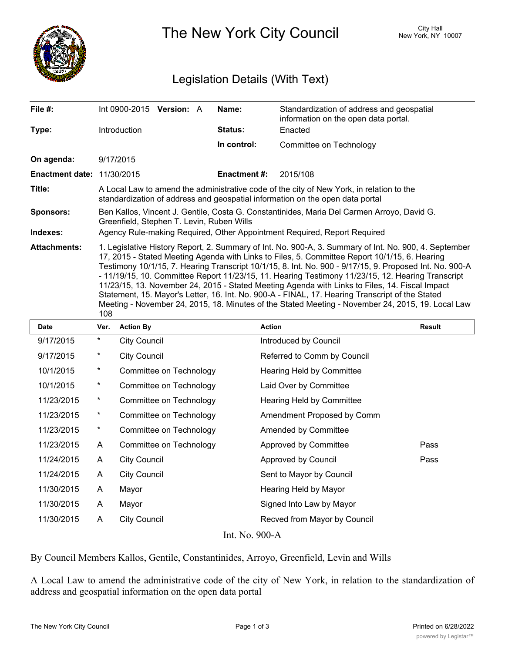

The New York City Council New York, NY 10007

## Legislation Details (With Text)

| File #:                           | Int 0900-2015 <b>Version:</b> A                                                                                                                                                                                                                                                                                                                                                                                                                                                                                                                                                                                                                                                                                                         |  |  | Name:              | Standardization of address and geospatial<br>information on the open data portal. |  |  |  |
|-----------------------------------|-----------------------------------------------------------------------------------------------------------------------------------------------------------------------------------------------------------------------------------------------------------------------------------------------------------------------------------------------------------------------------------------------------------------------------------------------------------------------------------------------------------------------------------------------------------------------------------------------------------------------------------------------------------------------------------------------------------------------------------------|--|--|--------------------|-----------------------------------------------------------------------------------|--|--|--|
| Type:                             | <b>Introduction</b>                                                                                                                                                                                                                                                                                                                                                                                                                                                                                                                                                                                                                                                                                                                     |  |  | Status:            | Enacted                                                                           |  |  |  |
|                                   |                                                                                                                                                                                                                                                                                                                                                                                                                                                                                                                                                                                                                                                                                                                                         |  |  | In control:        | Committee on Technology                                                           |  |  |  |
| On agenda:                        | 9/17/2015                                                                                                                                                                                                                                                                                                                                                                                                                                                                                                                                                                                                                                                                                                                               |  |  |                    |                                                                                   |  |  |  |
| <b>Enactment date: 11/30/2015</b> |                                                                                                                                                                                                                                                                                                                                                                                                                                                                                                                                                                                                                                                                                                                                         |  |  | <b>Enactment#:</b> | 2015/108                                                                          |  |  |  |
| Title:                            | A Local Law to amend the administrative code of the city of New York, in relation to the<br>standardization of address and geospatial information on the open data portal                                                                                                                                                                                                                                                                                                                                                                                                                                                                                                                                                               |  |  |                    |                                                                                   |  |  |  |
| <b>Sponsors:</b>                  | Ben Kallos, Vincent J. Gentile, Costa G. Constantinides, Maria Del Carmen Arroyo, David G.<br>Greenfield, Stephen T. Levin, Ruben Wills                                                                                                                                                                                                                                                                                                                                                                                                                                                                                                                                                                                                 |  |  |                    |                                                                                   |  |  |  |
| Indexes:                          | Agency Rule-making Required, Other Appointment Required, Report Required                                                                                                                                                                                                                                                                                                                                                                                                                                                                                                                                                                                                                                                                |  |  |                    |                                                                                   |  |  |  |
| <b>Attachments:</b>               | 1. Legislative History Report, 2. Summary of Int. No. 900-A, 3. Summary of Int. No. 900, 4. September<br>17, 2015 - Stated Meeting Agenda with Links to Files, 5. Committee Report 10/1/15, 6. Hearing<br>Testimony 10/1/15, 7. Hearing Transcript 10/1/15, 8. Int. No. 900 - 9/17/15, 9. Proposed Int. No. 900-A<br>- 11/19/15, 10. Committee Report 11/23/15, 11. Hearing Testimony 11/23/15, 12. Hearing Transcript<br>11/23/15, 13. November 24, 2015 - Stated Meeting Agenda with Links to Files, 14. Fiscal Impact<br>Statement, 15. Mayor's Letter, 16. Int. No. 900-A - FINAL, 17. Hearing Transcript of the Stated<br>Meeting - November 24, 2015, 18. Minutes of the Stated Meeting - November 24, 2015, 19. Local Law<br>108 |  |  |                    |                                                                                   |  |  |  |
|                                   | $\mathbf{v}$                                                                                                                                                                                                                                                                                                                                                                                                                                                                                                                                                                                                                                                                                                                            |  |  | .                  |                                                                                   |  |  |  |

| Date            | Ver.       | <b>Action By</b>        | <b>Action</b>                | <b>Result</b> |  |  |  |  |
|-----------------|------------|-------------------------|------------------------------|---------------|--|--|--|--|
| 9/17/2015       | $\star$    | <b>City Council</b>     | Introduced by Council        |               |  |  |  |  |
| 9/17/2015       | $^{\star}$ | <b>City Council</b>     | Referred to Comm by Council  |               |  |  |  |  |
| 10/1/2015       | $^\star$   | Committee on Technology | Hearing Held by Committee    |               |  |  |  |  |
| 10/1/2015       | $^{\star}$ | Committee on Technology | Laid Over by Committee       |               |  |  |  |  |
| 11/23/2015      | $^{\star}$ | Committee on Technology | Hearing Held by Committee    |               |  |  |  |  |
| 11/23/2015      | $^\star$   | Committee on Technology | Amendment Proposed by Comm   |               |  |  |  |  |
| 11/23/2015      | $\star$    | Committee on Technology | <b>Amended by Committee</b>  |               |  |  |  |  |
| 11/23/2015      | A          | Committee on Technology | Approved by Committee        | Pass          |  |  |  |  |
| 11/24/2015      | A          | <b>City Council</b>     | Approved by Council          | Pass          |  |  |  |  |
| 11/24/2015      | A          | <b>City Council</b>     | Sent to Mayor by Council     |               |  |  |  |  |
| 11/30/2015      | A          | Mayor                   | Hearing Held by Mayor        |               |  |  |  |  |
| 11/30/2015      | A          | Mayor                   | Signed Into Law by Mayor     |               |  |  |  |  |
| 11/30/2015      | A          | <b>City Council</b>     | Recved from Mayor by Council |               |  |  |  |  |
| <b>TAT OOOA</b> |            |                         |                              |               |  |  |  |  |

Int. No. 900-A

By Council Members Kallos, Gentile, Constantinides, Arroyo, Greenfield, Levin and Wills

A Local Law to amend the administrative code of the city of New York, in relation to the standardization of address and geospatial information on the open data portal